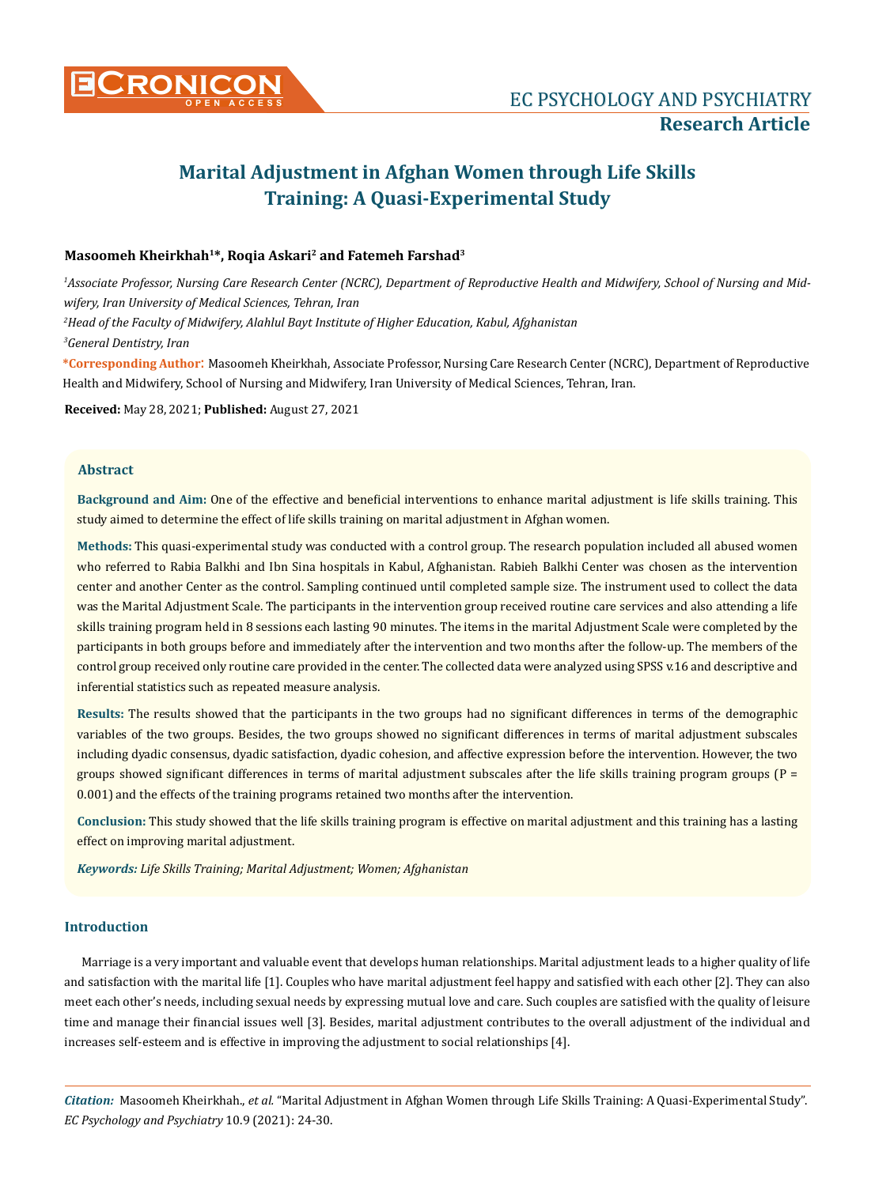

# **Marital Adjustment in Afghan Women through Life Skills Training: A Quasi-Experimental Study**

# **Masoomeh Kheirkhah1\*, Roqia Askari2 and Fatemeh Farshad3**

*1 Associate Professor, Nursing Care Research Center (NCRC), Department of Reproductive Health and Midwifery, School of Nursing and Midwifery, Iran University of Medical Sciences, Tehran, Iran*

*2 Head of the Faculty of Midwifery, Alahlul Bayt Institute of Higher Education, Kabul, Afghanistan*

*3 General Dentistry, Iran*

**\*Corresponding Author**: Masoomeh Kheirkhah, Associate Professor, Nursing Care Research Center (NCRC), Department of Reproductive Health and Midwifery, School of Nursing and Midwifery, Iran University of Medical Sciences, Tehran, Iran.

**Received:** May 28, 2021; **Published:** August 27, 2021

#### **Abstract**

**Background and Aim:** One of the effective and beneficial interventions to enhance marital adjustment is life skills training. This study aimed to determine the effect of life skills training on marital adjustment in Afghan women.

**Methods:** This quasi-experimental study was conducted with a control group. The research population included all abused women who referred to Rabia Balkhi and Ibn Sina hospitals in Kabul, Afghanistan. Rabieh Balkhi Center was chosen as the intervention center and another Center as the control. Sampling continued until completed sample size. The instrument used to collect the data was the Marital Adjustment Scale. The participants in the intervention group received routine care services and also attending a life skills training program held in 8 sessions each lasting 90 minutes. The items in the marital Adjustment Scale were completed by the participants in both groups before and immediately after the intervention and two months after the follow-up. The members of the control group received only routine care provided in the center. The collected data were analyzed using SPSS v.16 and descriptive and inferential statistics such as repeated measure analysis.

**Results:** The results showed that the participants in the two groups had no significant differences in terms of the demographic variables of the two groups. Besides, the two groups showed no significant differences in terms of marital adjustment subscales including dyadic consensus, dyadic satisfaction, dyadic cohesion, and affective expression before the intervention. However, the two groups showed significant differences in terms of marital adjustment subscales after the life skills training program groups (P = 0.001) and the effects of the training programs retained two months after the intervention.

**Conclusion:** This study showed that the life skills training program is effective on marital adjustment and this training has a lasting effect on improving marital adjustment.

*Keywords: Life Skills Training; Marital Adjustment; Women; Afghanistan*

# **Introduction**

Marriage is a very important and valuable event that develops human relationships. Marital adjustment leads to a higher quality of life and satisfaction with the marital life [1]. Couples who have marital adjustment feel happy and satisfied with each other [2]. They can also meet each other's needs, including sexual needs by expressing mutual love and care. Such couples are satisfied with the quality of leisure time and manage their financial issues well [3]. Besides, marital adjustment contributes to the overall adjustment of the individual and increases self-esteem and is effective in improving the adjustment to social relationships [4].

*Citation:* Masoomeh Kheirkhah., *et al.* "Marital Adjustment in Afghan Women through Life Skills Training: A Quasi-Experimental Study". *EC Psychology and Psychiatry* 10.9 (2021): 24-30.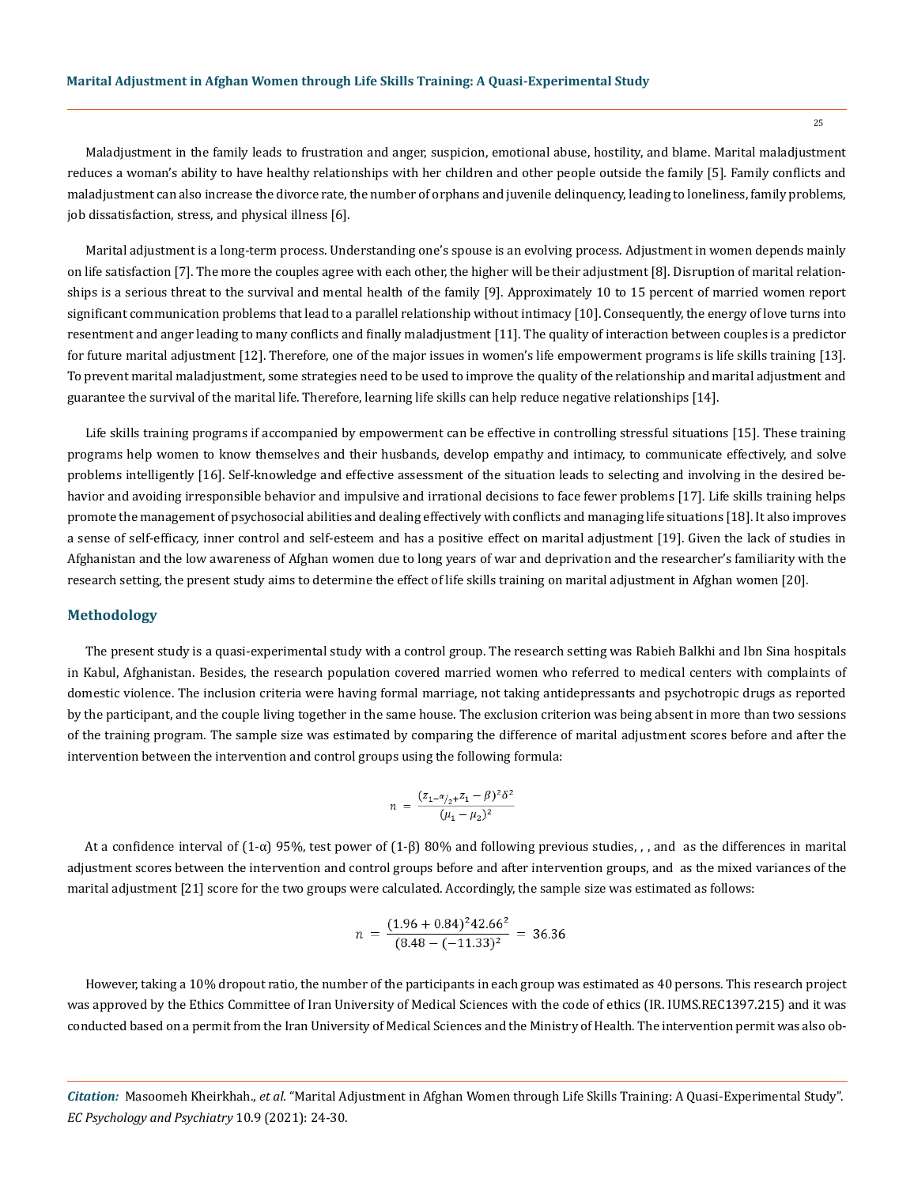Maladjustment in the family leads to frustration and anger, suspicion, emotional abuse, hostility, and blame. Marital maladjustment reduces a woman's ability to have healthy relationships with her children and other people outside the family [5]. Family conflicts and maladjustment can also increase the divorce rate, the number of orphans and juvenile delinquency, leading to loneliness, family problems, job dissatisfaction, stress, and physical illness [6].

Marital adjustment is a long-term process. Understanding one's spouse is an evolving process. Adjustment in women depends mainly on life satisfaction [7]. The more the couples agree with each other, the higher will be their adjustment [8]. Disruption of marital relationships is a serious threat to the survival and mental health of the family [9]. Approximately 10 to 15 percent of married women report significant communication problems that lead to a parallel relationship without intimacy [10]. Consequently, the energy of love turns into resentment and anger leading to many conflicts and finally maladjustment [11]. The quality of interaction between couples is a predictor for future marital adjustment [12]. Therefore, one of the major issues in women's life empowerment programs is life skills training [13]. To prevent marital maladjustment, some strategies need to be used to improve the quality of the relationship and marital adjustment and guarantee the survival of the marital life. Therefore, learning life skills can help reduce negative relationships [14].

Life skills training programs if accompanied by empowerment can be effective in controlling stressful situations [15]. These training programs help women to know themselves and their husbands, develop empathy and intimacy, to communicate effectively, and solve problems intelligently [16]. Self-knowledge and effective assessment of the situation leads to selecting and involving in the desired behavior and avoiding irresponsible behavior and impulsive and irrational decisions to face fewer problems [17]. Life skills training helps promote the management of psychosocial abilities and dealing effectively with conflicts and managing life situations [18]. It also improves a sense of self-efficacy, inner control and self-esteem and has a positive effect on marital adjustment [19]. Given the lack of studies in Afghanistan and the low awareness of Afghan women due to long years of war and deprivation and the researcher's familiarity with the research setting, the present study aims to determine the effect of life skills training on marital adjustment in Afghan women [20].

#### **Methodology**

The present study is a quasi-experimental study with a control group. The research setting was Rabieh Balkhi and Ibn Sina hospitals in Kabul, Afghanistan. Besides, the research population covered married women who referred to medical centers with complaints of domestic violence. The inclusion criteria were having formal marriage, not taking antidepressants and psychotropic drugs as reported by the participant, and the couple living together in the same house. The exclusion criterion was being absent in more than two sessions of the training program. The sample size was estimated by comparing the difference of marital adjustment scores before and after the intervention between the intervention and control groups using the following formula:

$$
n = \frac{(z_{1} - \alpha_{2} + z_{1} - \beta)^{2} \delta^{2}}{(\mu_{1} - \mu_{2})^{2}}
$$

At a confidence interval of (1-α) 95%, test power of (1-β) 80% and following previous studies, , , and as the differences in marital adjustment scores between the intervention and control groups before and after intervention groups, and as the mixed variances of the marital adjustment [21] score for the two groups were calculated. Accordingly, the sample size was estimated as follows:

$$
n = \frac{(1.96 + 0.84)^2 42.66^2}{(8.48 - (-11.33)^2)} = 36.36
$$

However, taking a 10% dropout ratio, the number of the participants in each group was estimated as 40 persons. This research project was approved by the Ethics Committee of Iran University of Medical Sciences with the code of ethics (IR. IUMS.REC1397.215) and it was conducted based on a permit from the Iran University of Medical Sciences and the Ministry of Health. The intervention permit was also ob-

*Citation:* Masoomeh Kheirkhah., *et al.* "Marital Adjustment in Afghan Women through Life Skills Training: A Quasi-Experimental Study". *EC Psychology and Psychiatry* 10.9 (2021): 24-30.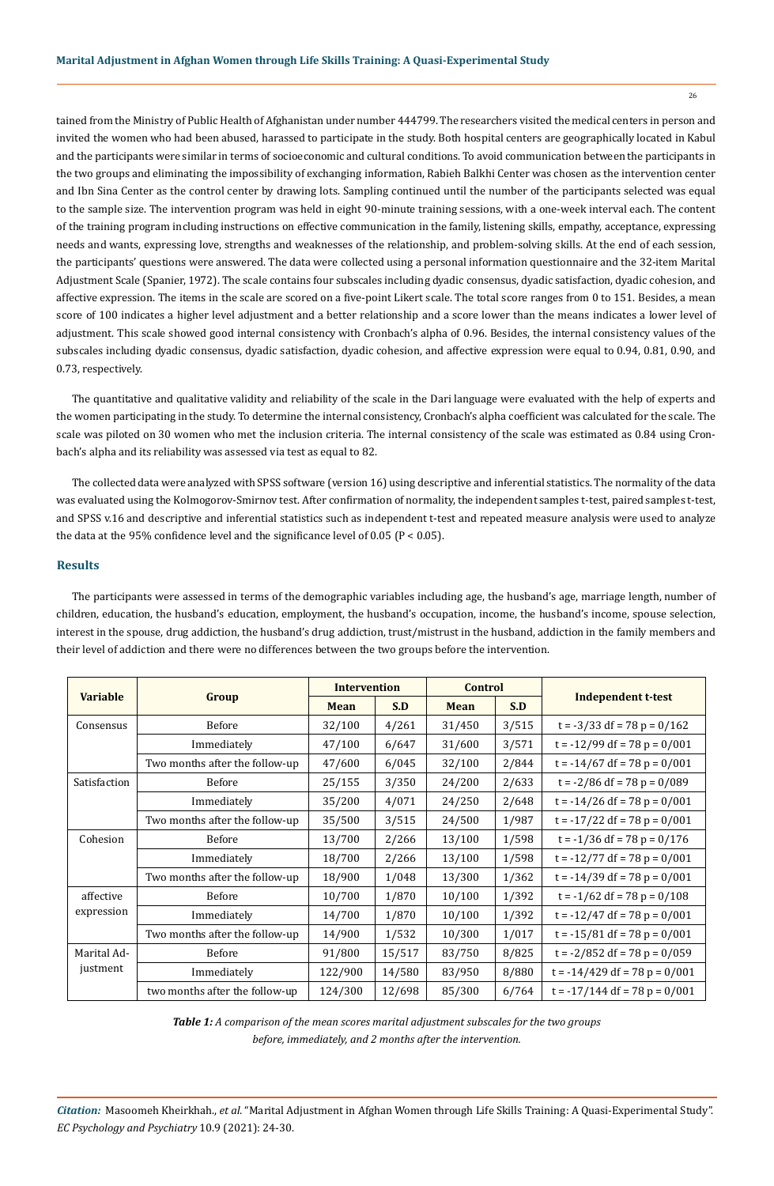tained from the Ministry of Public Health of Afghanistan under number 444799. The researchers visited the medical centers in person and invited the women who had been abused, harassed to participate in the study. Both hospital centers are geographically located in Kabul and the participants were similar in terms of socioeconomic and cultural conditions. To avoid communication between the participants in the two groups and eliminating the impossibility of exchanging information, Rabieh Balkhi Center was chosen as the intervention center and Ibn Sina Center as the control center by drawing lots. Sampling continued until the number of the participants selected was equal to the sample size. The intervention program was held in eight 90-minute training sessions, with a one-week interval each. The content of the training program including instructions on effective communication in the family, listening skills, empathy, acceptance, expressing needs and wants, expressing love, strengths and weaknesses of the relationship, and problem-solving skills. At the end of each session, the participants' questions were answered. The data were collected using a personal information questionnaire and the 32-item Marital Adjustment Scale (Spanier, 1972). The scale contains four subscales including dyadic consensus, dyadic satisfaction, dyadic cohesion, and affective expression. The items in the scale are scored on a five-point Likert scale. The total score ranges from 0 to 151. Besides, a mean score of 100 indicates a higher level adjustment and a better relationship and a score lower than the means indicates a lower level of adjustment. This scale showed good internal consistency with Cronbach's alpha of 0.96. Besides, the internal consistency values of the subscales including dyadic consensus, dyadic satisfaction, dyadic cohesion, and affective expression were equal to 0.94, 0.81, 0.90, and 0.73, respectively.

The quantitative and qualitative validity and reliability of the scale in the Dari language were evaluated with the help of experts and the women participating in the study. To determine the internal consistency, Cronbach's alpha coefficient was calculated for the scale. The scale was piloted on 30 women who met the inclusion criteria. The internal consistency of the scale was estimated as 0.84 using Cronbach's alpha and its reliability was assessed via test as equal to 82.

The collected data were analyzed with SPSS software (version 16) using descriptive and inferential statistics. The normality of the data was evaluated using the Kolmogorov-Smirnov test. After confirmation of normality, the independent samples t-test, paired samples t-test, and SPSS v.16 and descriptive and inferential statistics such as independent t-test and repeated measure analysis were used to analyze the data at the 95% confidence level and the significance level of  $0.05$  (P <  $0.05$ ).

## **Results**

The participants were assessed in terms of the demographic variables including age, the husband's age, marriage length, number of children, education, the husband's education, employment, the husband's occupation, income, the husband's income, spouse selection, interest in the spouse, drug addiction, the husband's drug addiction, trust/mistrust in the husband, addiction in the family members and their level of addiction and there were no differences between the two groups before the intervention.

|                 | Group                          | <b>Intervention</b> |        | <b>Control</b> |       |                                 |  |
|-----------------|--------------------------------|---------------------|--------|----------------|-------|---------------------------------|--|
| <b>Variable</b> |                                | <b>Mean</b>         | S.D    | <b>Mean</b>    | S.D   | Independent t-test              |  |
| Consensus       | Before                         | 32/100              | 4/261  | 31/450         | 3/515 | $t = -3/33$ df = 78 p = 0/162   |  |
|                 | Immediately                    | 47/100              | 6/647  | 31/600         | 3/571 | $t = -12/99$ df = 78 p = 0/001  |  |
|                 | Two months after the follow-up | 47/600              | 6/045  | 32/100         | 2/844 | $t = -14/67$ df = 78 p = 0/001  |  |
| Satisfaction    | <b>Before</b>                  | 25/155              | 3/350  | 24/200         | 2/633 | $t = -2/86$ df = 78 p = 0/089   |  |
|                 | Immediately                    | 35/200              | 4/071  | 24/250         | 2/648 | $t = -14/26$ df = 78 p = 0/001  |  |
|                 | Two months after the follow-up | 35/500              | 3/515  | 24/500         | 1/987 | $t = -17/22 df = 78 p = 0/001$  |  |
| Cohesion        | Before                         | 13/700              | 2/266  | 13/100         | 1/598 | $t = -1/36$ df = 78 p = 0/176   |  |
|                 | Immediately                    | 18/700              | 2/266  | 13/100         | 1/598 | $t = -12/77$ df = 78 p = 0/001  |  |
|                 | Two months after the follow-up | 18/900              | 1/048  | 13/300         | 1/362 | $t = -14/39$ df = 78 p = 0/001  |  |
| affective       | Before                         | 10/700              | 1/870  | 10/100         | 1/392 | $t = -1/62 df = 78 p = 0/108$   |  |
| expression      | Immediately                    | 14/700              | 1/870  | 10/100         | 1/392 | $t = -12/47$ df = 78 p = 0/001  |  |
|                 | Two months after the follow-up | 14/900              | 1/532  | 10/300         | 1/017 | $t = -15/81$ df = 78 p = 0/001  |  |
| Marital Ad-     | <b>Before</b>                  | 91/800              | 15/517 | 83/750         | 8/825 | $t = -2/852$ df = 78 p = 0/059  |  |
| justment        | Immediately                    | 122/900             | 14/580 | 83/950         | 8/880 | $t = -14/429$ df = 78 p = 0/001 |  |
|                 | two months after the follow-up | 124/300             | 12/698 | 85/300         | 6/764 | $t = -17/144$ df = 78 p = 0/001 |  |

*Table 1: A comparison of the mean scores marital adjustment subscales for the two groups before, immediately, and 2 months after the intervention.*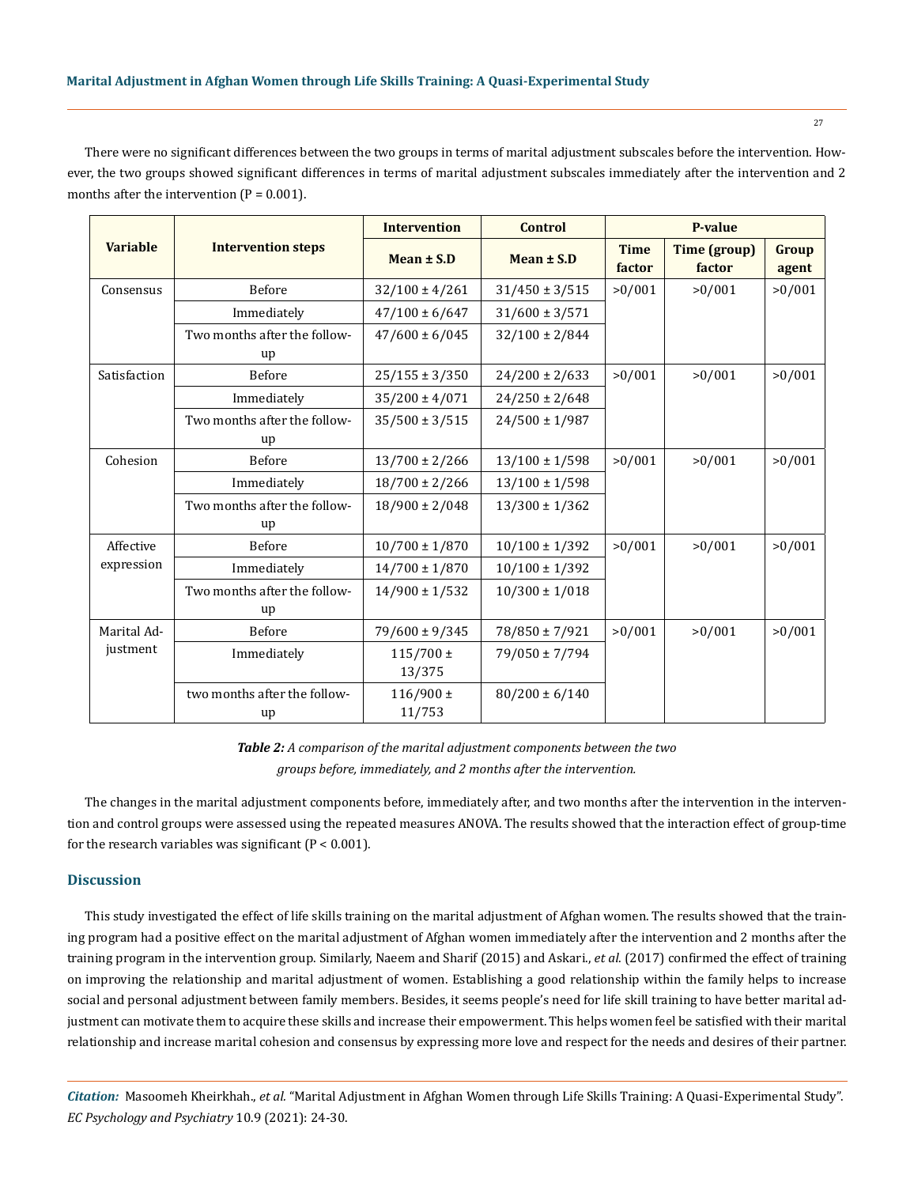There were no significant differences between the two groups in terms of marital adjustment subscales before the intervention. However, the two groups showed significant differences in terms of marital adjustment subscales immediately after the intervention and 2 months after the intervention  $(P = 0.001)$ .

|                         |                                    | <b>Intervention</b>     | <b>Control</b>     | P-value               |                               |                |
|-------------------------|------------------------------------|-------------------------|--------------------|-----------------------|-------------------------------|----------------|
| <b>Variable</b>         | <b>Intervention steps</b>          | Mean $\pm$ S.D          | Mean $\pm$ S.D     | <b>Time</b><br>factor | <b>Time (group)</b><br>factor | Group<br>agent |
| Consensus               | Before                             | $32/100 \pm 4/261$      | $31/450 \pm 3/515$ | >0/001                | >0/001                        | >0/001         |
|                         | Immediately                        | $47/100 \pm 6/647$      | $31/600 \pm 3/571$ |                       |                               |                |
|                         | Two months after the follow-<br>up | $47/600 \pm 6/045$      | $32/100 \pm 2/844$ |                       |                               |                |
| Satisfaction            | Before                             | $25/155 \pm 3/350$      | $24/200 \pm 2/633$ | >0/001                | >0/001                        | >0/001         |
|                         | Immediately                        | $35/200 \pm 4/071$      | $24/250 \pm 2/648$ |                       |                               |                |
|                         | Two months after the follow-<br>up | $35/500 \pm 3/515$      | $24/500 \pm 1/987$ |                       |                               |                |
| Cohesion                | Before                             | $13/700 \pm 2/266$      | $13/100 \pm 1/598$ | >0/001                | >0/001                        | >0/001         |
|                         | Immediately                        | $18/700 \pm 2/266$      | $13/100 \pm 1/598$ |                       |                               |                |
|                         | Two months after the follow-<br>up | $18/900 \pm 2/048$      | $13/300 \pm 1/362$ |                       |                               |                |
| Affective<br>expression | Before                             | $10/700 \pm 1/870$      | $10/100 \pm 1/392$ | >0/001                | >0/001                        | >0/001         |
|                         | Immediately                        | $14/700 \pm 1/870$      | $10/100 \pm 1/392$ |                       |                               |                |
|                         | Two months after the follow-<br>up | $14/900 \pm 1/532$      | $10/300 \pm 1/018$ |                       |                               |                |
| Marital Ad-<br>justment | Before                             | 79/600 ± 9/345          | 78/850 ± 7/921     | >0/001                | >0/001                        | >0/001         |
|                         | Immediately                        | $115/700 \pm$<br>13/375 | 79/050 ± 7/794     |                       |                               |                |
|                         | two months after the follow-<br>up | $116/900 \pm$<br>11/753 | $80/200 \pm 6/140$ |                       |                               |                |

*Table 2: A comparison of the marital adjustment components between the two groups before, immediately, and 2 months after the intervention.*

The changes in the marital adjustment components before, immediately after, and two months after the intervention in the intervention and control groups were assessed using the repeated measures ANOVA. The results showed that the interaction effect of group-time for the research variables was significant  $(P < 0.001)$ .

## **Discussion**

This study investigated the effect of life skills training on the marital adjustment of Afghan women. The results showed that the training program had a positive effect on the marital adjustment of Afghan women immediately after the intervention and 2 months after the training program in the intervention group. Similarly, Naeem and Sharif (2015) and Askari., *et al*. (2017) confirmed the effect of training on improving the relationship and marital adjustment of women. Establishing a good relationship within the family helps to increase social and personal adjustment between family members. Besides, it seems people's need for life skill training to have better marital adjustment can motivate them to acquire these skills and increase their empowerment. This helps women feel be satisfied with their marital relationship and increase marital cohesion and consensus by expressing more love and respect for the needs and desires of their partner.

*Citation:* Masoomeh Kheirkhah., *et al.* "Marital Adjustment in Afghan Women through Life Skills Training: A Quasi-Experimental Study". *EC Psychology and Psychiatry* 10.9 (2021): 24-30.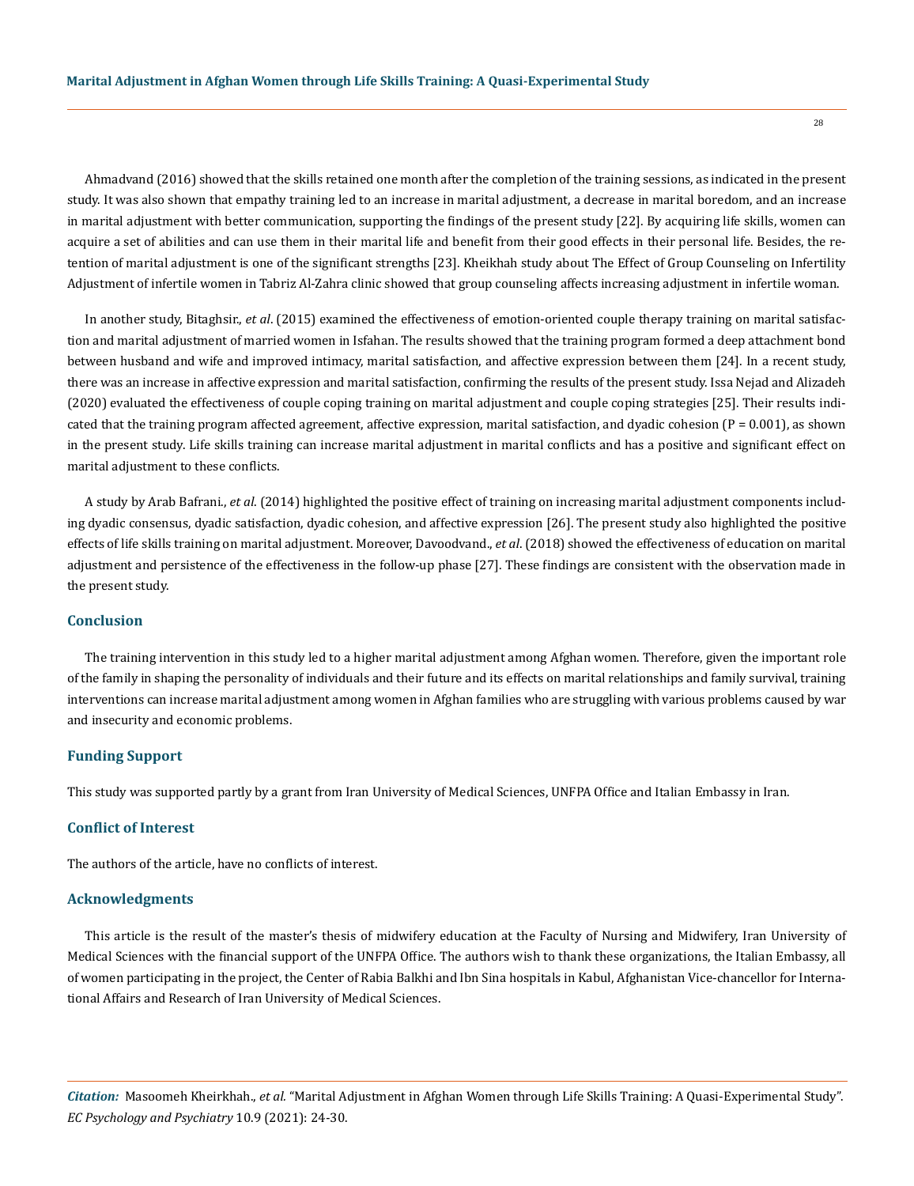Ahmadvand (2016) showed that the skills retained one month after the completion of the training sessions, as indicated in the present study. It was also shown that empathy training led to an increase in marital adjustment, a decrease in marital boredom, and an increase in marital adjustment with better communication, supporting the findings of the present study [22]. By acquiring life skills, women can acquire a set of abilities and can use them in their marital life and benefit from their good effects in their personal life. Besides, the retention of marital adjustment is one of the significant strengths [23]. Kheikhah study about The Effect of Group Counseling on Infertility Adjustment of infertile women in Tabriz Al-Zahra clinic showed that group counseling affects increasing adjustment in infertile woman.

In another study, Bitaghsir., *et al*. (2015) examined the effectiveness of emotion-oriented couple therapy training on marital satisfaction and marital adjustment of married women in Isfahan. The results showed that the training program formed a deep attachment bond between husband and wife and improved intimacy, marital satisfaction, and affective expression between them [24]. In a recent study, there was an increase in affective expression and marital satisfaction, confirming the results of the present study. Issa Nejad and Alizadeh (2020) evaluated the effectiveness of couple coping training on marital adjustment and couple coping strategies [25]. Their results indicated that the training program affected agreement, affective expression, marital satisfaction, and dyadic cohesion ( $P = 0.001$ ), as shown in the present study. Life skills training can increase marital adjustment in marital conflicts and has a positive and significant effect on marital adjustment to these conflicts.

A study by Arab Bafrani., *et al*. (2014) highlighted the positive effect of training on increasing marital adjustment components including dyadic consensus, dyadic satisfaction, dyadic cohesion, and affective expression [26]. The present study also highlighted the positive effects of life skills training on marital adjustment. Moreover, Davoodvand., *et al*. (2018) showed the effectiveness of education on marital adjustment and persistence of the effectiveness in the follow-up phase [27]. These findings are consistent with the observation made in the present study.

#### **Conclusion**

The training intervention in this study led to a higher marital adjustment among Afghan women. Therefore, given the important role of the family in shaping the personality of individuals and their future and its effects on marital relationships and family survival, training interventions can increase marital adjustment among women in Afghan families who are struggling with various problems caused by war and insecurity and economic problems.

#### **Funding Support**

This study was supported partly by a grant from Iran University of Medical Sciences, UNFPA Office and Italian Embassy in Iran.

# **Conflict of Interest**

The authors of the article, have no conflicts of interest.

#### **Acknowledgments**

This article is the result of the master's thesis of midwifery education at the Faculty of Nursing and Midwifery, Iran University of Medical Sciences with the financial support of the UNFPA Office. The authors wish to thank these organizations, the Italian Embassy, all of women participating in the project, the Center of Rabia Balkhi and Ibn Sina hospitals in Kabul, Afghanistan Vice-chancellor for International Affairs and Research of Iran University of Medical Sciences.

*Citation:* Masoomeh Kheirkhah., *et al.* "Marital Adjustment in Afghan Women through Life Skills Training: A Quasi-Experimental Study". *EC Psychology and Psychiatry* 10.9 (2021): 24-30.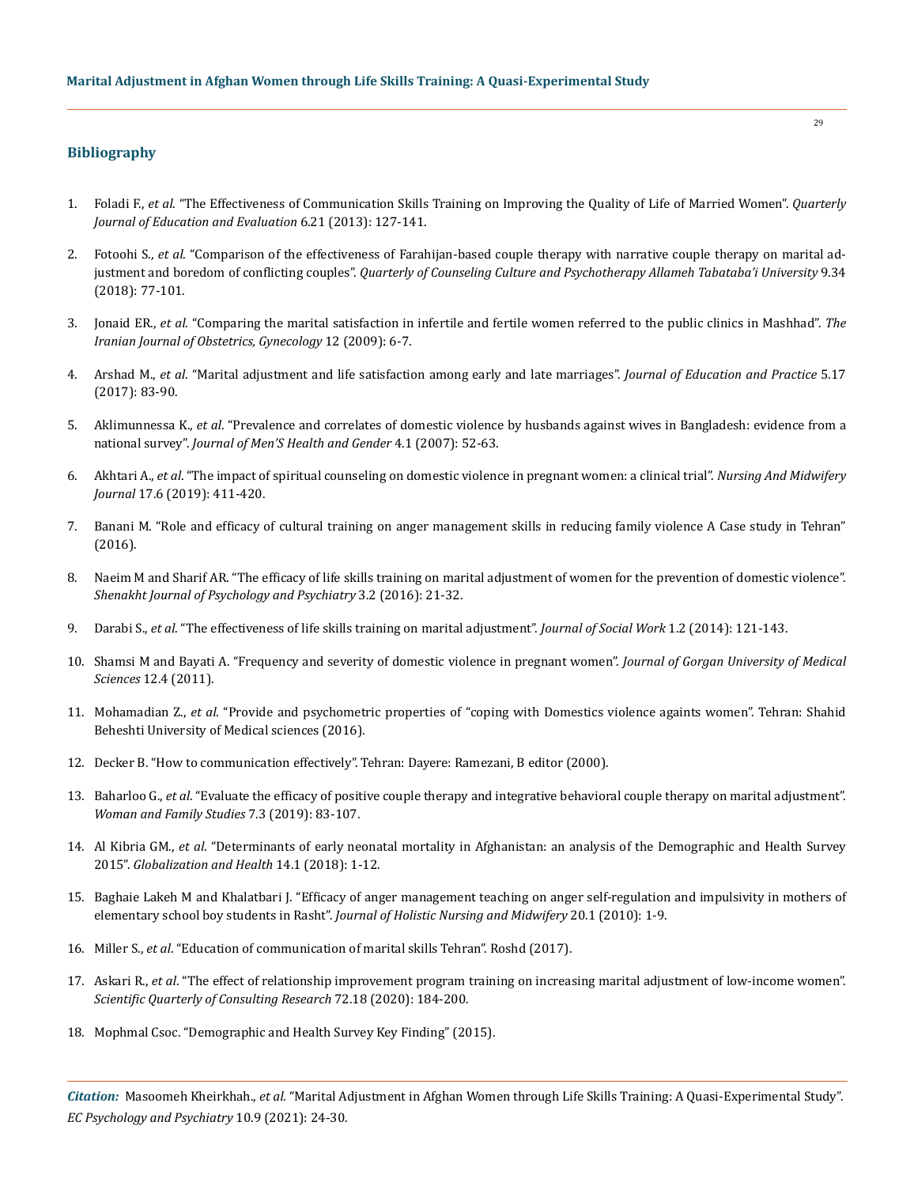# **Bibliography**

- 1. Foladi F., *et al*[. "The Effectiveness of Communication Skills Training on Improving the Quality of Life of Married Women".](https://www.sciencedirect.com/science/article/pii/S1877042815001421) *Quarterly [Journal of Education and Evaluation](https://www.sciencedirect.com/science/article/pii/S1877042815001421)* 6.21 (2013): 127-141.
- 2. Fotoohi S., *et al*[. "Comparison of the effectiveness of Farahijan-based couple therapy with narrative couple therapy on marital ad](https://diversityhealthcare.imedpub.com/comparison-of-the-effectiveness-of-gottman-method-couple-therapy-with-narrative-therapy-on-couples-burnout-and-marital-adjustment.pdf)justment and boredom of conflicting couples". *[Quarterly of Counseling Culture and Psychotherapy Allameh Tabataba'i University](https://diversityhealthcare.imedpub.com/comparison-of-the-effectiveness-of-gottman-method-couple-therapy-with-narrative-therapy-on-couples-burnout-and-marital-adjustment.pdf)* 9.34 [\(2018\): 77-101.](https://diversityhealthcare.imedpub.com/comparison-of-the-effectiveness-of-gottman-method-couple-therapy-with-narrative-therapy-on-couples-burnout-and-marital-adjustment.pdf)
- 3. Jonaid ER., *et al*[. "Comparing the marital satisfaction in infertile and fertile women referred to the public clinics in Mashhad".](https://www.researchgate.net/publication/267416902_The_Comparison_of_Marital_Satisfaction_between_Fertile_and_Iinfertile_Women) *The [Iranian Journal of Obstetrics, Gynecology](https://www.researchgate.net/publication/267416902_The_Comparison_of_Marital_Satisfaction_between_Fertile_and_Iinfertile_Women)* 12 (2009): 6-7.
- 4. Arshad M., *et al*[. "Marital adjustment and life satisfaction among early and late marriages".](https://www.iiste.org/Journals/index.php/JEP/article/view/13913/14065) *Journal of Education and Practice* 5.17 [\(2017\): 83-90.](https://www.iiste.org/Journals/index.php/JEP/article/view/13913/14065)
- 5. Aklimunnessa K., *et al*[. "Prevalence and correlates of domestic violence by husbands against wives in Bangladesh: evidence from a](https://www.sciencedirect.com/science/article/abs/pii/S1571891307000039)  national survey". *[Journal of Men'S Health and Gender](https://www.sciencedirect.com/science/article/abs/pii/S1571891307000039)* 4.1 (2007): 52-63.
- 6. Akhtari A., *et al*[. "The impact of spiritual counseling on domestic violence in pregnant women: a clinical trial".](http://unmf.umsu.ac.ir/browse.php?a_id=3768&sid=1&slc_lang=en) *Nursing And Midwifery Journal* [17.6 \(2019\): 411-420.](http://unmf.umsu.ac.ir/browse.php?a_id=3768&sid=1&slc_lang=en)
- 7. Banani M. "Role and efficacy of cultural training on anger management skills in reducing family violence A Case study in Tehran" (2016).
- 8. [Naeim M and Sharif AR. "The efficacy of life skills training on marital adjustment of women for the prevention of domestic violence".](https://www.semanticscholar.org/paper/The-efficacy-of-life-skills-training-on-marital-of-Naeim-Sharif/b38b872214ad4b7a0ad101b8726a2bcf92c10d8b)  *[Shenakht Journal of Psychology and Psychiatry](https://www.semanticscholar.org/paper/The-efficacy-of-life-skills-training-on-marital-of-Naeim-Sharif/b38b872214ad4b7a0ad101b8726a2bcf92c10d8b)* 3.2 (2016): 21-32.
- 9. Darabi S., *et al*[. "The effectiveness of life skills training on marital adjustment".](https://www.researchgate.net/publication/326435166_The_Effectiveness_of_life_Skills_Training_on_Marital_Satisfaction_in_Divorce_Applicant_Couples) *Journal of Social Work* 1.2 (2014): 121-143.
- 10. [Shamsi M and Bayati A. "Frequency and severity of domestic violence in pregnant women".](https://pdf.sciencedirectassets.com/277811/1-s2.0-S1877042815X00061/1-s2.0-S1877042815002724/main.pdf?X-Amz-Security-Token=IQoJb3JpZ2luX2VjELL%2F%2F%2F%2F%2F%2F%2F%2F%2F%2FwEaCXVzLWVhc3QtMSJGMEQCIHL4iSlQQQzoReqtu6u9D4LEoLWOzWKaIc6b5c%2B%2FnMFtAiBMFWvomQbczHv5waY8FgSalw0T3xbhR6U8QLcxKtJkOSr6AwhrEAQaDDA1OTAwMzU0Njg2NSIMFS%2FbnWUFqjDAD2LyKtcDdlCnP0YM2gAbuIT3OY6sm7WC2WYCEcaefkBF4vmGiFc%2B6LAHCj29yIqA05BrKS6%2BXq2D4G3PKmfmnVayexsgVnZRYbbTls7ySJj%2BsqJl8oLTJgbB5X4yUHGXuNi7MBg8PznAptqCmIOv%2BMMtTbKjdVS8sLTdFSzsqxvX4Rhxrgz%2ByNMoYac48pWPbhEd%2FNRbLyYjmfuiV2iggYa5Kq6oVGXalk729vXjN4qznEJ%2FwUV7BElk0hMP7WvV1E2zOoSEqNzELA6pEc9CoPOIGykzZaMJnxZnRWedPrKFHPuKVuTNehwLNBsC1SHEjMyPiHFvxsx2LnkJ%2BebFKe9YRcQEIJ1J1Afx2%2FJ6noO%2FFYk0abk5t6Z%2FO9LCXcrTnyGKcQPrWsiSGilCM%2BwoAP1T93XEw4a2s82EKQZhcTaO3ixbDEYCE9dUbjKXxjDIZ5yvxTaK8kOpEXCNUi15E8B%2BSJJ4tYDcigjBZFSSPLla6%2FCRri%2FZdJdCOJTZ1JW4DtXxc0UTJSGPSfJsno6Eg5UepqQnMofAhoTiSv1ZsQc9vd%2BQ%2FOUwJx3Q4WtSh04ySJKJxf8ergPiu1V4xAHp5urQ7GBM5aO0YKqxmalORTYm6orTA3vmGvTZ285CML6d%2B4UGOqYB4bLi%2Fco42m2D%2BrMSf4BdfAYRgwR9qApjKpypJfKl7uRZp1GULWX6DbIoMjKkMXOCLWO6NIrDS7YwANEILNfX1yJ11jy9qRixJdeAvGWFje9METYCJ6wccJlh2epk10LRINesRAw2imcn6Bl0HaDWob2DwX44GX8BMDklxocIXb0ruNau220XlGI68BlsDaojSyTbGeY7BL2BSADWCfd2drVCX6PU%2Bw%3D%3D&X-Amz-Algorithm=AWS4-HMAC-SHA256&X-Amz-Date=20210608T031205Z&X-Amz-SignedHeaders=host&X-Amz-Expires=300&X-Amz-Credential=ASIAQ3PHCVTYZGP3ILUX%2F20210608%2Fus-east-1%2Fs3%2Faws4_request&X-Amz-Signature=3ecb63a174f271882d63c1b6caa12d16330911bd584dbbd1fcbbe30b728fc809&hash=7042dd062270b982d6433be91a8e4210c21c409487835cabe839f335326546fd&host=68042c943591013ac2b2430a89b270f6af2c76d8dfd086a07176afe7c76c2c61&pii=S1877042815002724&tid=spdf-2938883b-545b-40f7-ae65-3bff22299019&sid=fe70f4eb15000247c16b0da2aabc4bcde9a3gxrqb&type=client) *Journal of Gorgan University of Medical Sciences* [12.4 \(2011\).](https://pdf.sciencedirectassets.com/277811/1-s2.0-S1877042815X00061/1-s2.0-S1877042815002724/main.pdf?X-Amz-Security-Token=IQoJb3JpZ2luX2VjELL%2F%2F%2F%2F%2F%2F%2F%2F%2F%2FwEaCXVzLWVhc3QtMSJGMEQCIHL4iSlQQQzoReqtu6u9D4LEoLWOzWKaIc6b5c%2B%2FnMFtAiBMFWvomQbczHv5waY8FgSalw0T3xbhR6U8QLcxKtJkOSr6AwhrEAQaDDA1OTAwMzU0Njg2NSIMFS%2FbnWUFqjDAD2LyKtcDdlCnP0YM2gAbuIT3OY6sm7WC2WYCEcaefkBF4vmGiFc%2B6LAHCj29yIqA05BrKS6%2BXq2D4G3PKmfmnVayexsgVnZRYbbTls7ySJj%2BsqJl8oLTJgbB5X4yUHGXuNi7MBg8PznAptqCmIOv%2BMMtTbKjdVS8sLTdFSzsqxvX4Rhxrgz%2ByNMoYac48pWPbhEd%2FNRbLyYjmfuiV2iggYa5Kq6oVGXalk729vXjN4qznEJ%2FwUV7BElk0hMP7WvV1E2zOoSEqNzELA6pEc9CoPOIGykzZaMJnxZnRWedPrKFHPuKVuTNehwLNBsC1SHEjMyPiHFvxsx2LnkJ%2BebFKe9YRcQEIJ1J1Afx2%2FJ6noO%2FFYk0abk5t6Z%2FO9LCXcrTnyGKcQPrWsiSGilCM%2BwoAP1T93XEw4a2s82EKQZhcTaO3ixbDEYCE9dUbjKXxjDIZ5yvxTaK8kOpEXCNUi15E8B%2BSJJ4tYDcigjBZFSSPLla6%2FCRri%2FZdJdCOJTZ1JW4DtXxc0UTJSGPSfJsno6Eg5UepqQnMofAhoTiSv1ZsQc9vd%2BQ%2FOUwJx3Q4WtSh04ySJKJxf8ergPiu1V4xAHp5urQ7GBM5aO0YKqxmalORTYm6orTA3vmGvTZ285CML6d%2B4UGOqYB4bLi%2Fco42m2D%2BrMSf4BdfAYRgwR9qApjKpypJfKl7uRZp1GULWX6DbIoMjKkMXOCLWO6NIrDS7YwANEILNfX1yJ11jy9qRixJdeAvGWFje9METYCJ6wccJlh2epk10LRINesRAw2imcn6Bl0HaDWob2DwX44GX8BMDklxocIXb0ruNau220XlGI68BlsDaojSyTbGeY7BL2BSADWCfd2drVCX6PU%2Bw%3D%3D&X-Amz-Algorithm=AWS4-HMAC-SHA256&X-Amz-Date=20210608T031205Z&X-Amz-SignedHeaders=host&X-Amz-Expires=300&X-Amz-Credential=ASIAQ3PHCVTYZGP3ILUX%2F20210608%2Fus-east-1%2Fs3%2Faws4_request&X-Amz-Signature=3ecb63a174f271882d63c1b6caa12d16330911bd584dbbd1fcbbe30b728fc809&hash=7042dd062270b982d6433be91a8e4210c21c409487835cabe839f335326546fd&host=68042c943591013ac2b2430a89b270f6af2c76d8dfd086a07176afe7c76c2c61&pii=S1877042815002724&tid=spdf-2938883b-545b-40f7-ae65-3bff22299019&sid=fe70f4eb15000247c16b0da2aabc4bcde9a3gxrqb&type=client)
- 11. Mohamadian Z., *et al*. "Provide and psychometric properties of "coping with Domestics violence againts women". Tehran: Shahid Beheshti University of Medical sciences (2016).
- 12. Decker B. "How to communication effectively". Tehran: Dayere: Ramezani, B editor (2000).
- 13. Baharloo G., *et al*[. "Evaluate the efficacy of positive couple therapy and integrative behavioral couple therapy on marital adjustment".](https://jwfs.alzahra.ac.ir/m/article_4742.html?lang=en)  *[Woman and Family Studies](https://jwfs.alzahra.ac.ir/m/article_4742.html?lang=en)* 7.3 (2019): 83-107.
- 14. Al Kibria GM., *et al*[. "Determinants of early neonatal mortality in Afghanistan: an analysis of the Demographic and Health Survey](https://pubmed.ncbi.nlm.nih.gov/29743085/)  2015". *[Globalization and Health](https://pubmed.ncbi.nlm.nih.gov/29743085/)* 14.1 (2018): 1-12.
- 15. [Baghaie Lakeh M and Khalatbari J. "Efficacy of anger management teaching on anger self-regulation and impulsivity in mothers of](https://hnmj.gums.ac.ir/browse.php?a_id=296&sid=1&slc_lang=fa)  elementary school boy students in Rasht". *[Journal of Holistic Nursing and Midwifery](https://hnmj.gums.ac.ir/browse.php?a_id=296&sid=1&slc_lang=fa)* 20.1 (2010): 1-9.
- 16. Miller S., *et al*. "Education of communication of marital skills Tehran". Roshd (2017).
- 17. Askari R., *et al*. "The effect of relationship improvement program training on increasing marital adjustment of low-income women". *Scientific Quarterly of Consulting Research* 72.18 (2020): 184-200.
- 18. Mophmal Csoc. "Demographic and Health Survey Key Finding" (2015).